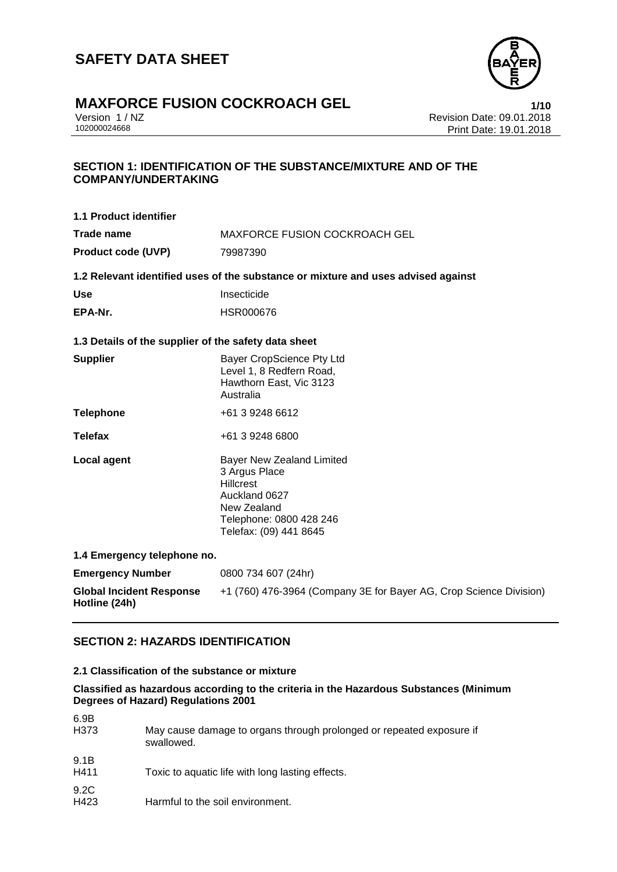

# **MAXFORCE FUSION COCKROACH GEL**<br>
Version 1/NZ<br>
Revision Date: 09.01.2018

Version 1 / NZ Revision Date: 09.01.2018 Print Date: 19.01.2018

## **SECTION 1: IDENTIFICATION OF THE SUBSTANCE/MIXTURE AND OF THE COMPANY/UNDERTAKING**

| <b>1.1 Product identifier</b>                        |                                                                                                                                                            |  |
|------------------------------------------------------|------------------------------------------------------------------------------------------------------------------------------------------------------------|--|
| <b>Trade name</b>                                    | <b>MAXFORCE FUSION COCKROACH GEL</b>                                                                                                                       |  |
| <b>Product code (UVP)</b>                            | 79987390                                                                                                                                                   |  |
|                                                      | 1.2 Relevant identified uses of the substance or mixture and uses advised against                                                                          |  |
| <b>Use</b>                                           | Insecticide                                                                                                                                                |  |
| EPA-Nr.                                              | <b>HSR000676</b>                                                                                                                                           |  |
| 1.3 Details of the supplier of the safety data sheet |                                                                                                                                                            |  |
| <b>Supplier</b>                                      | Bayer CropScience Pty Ltd<br>Level 1, 8 Redfern Road,<br>Hawthorn East, Vic 3123<br>Australia                                                              |  |
| <b>Telephone</b>                                     | +61 3 9248 6612                                                                                                                                            |  |
| <b>Telefax</b>                                       | +61 3 9248 6800                                                                                                                                            |  |
| <b>Local agent</b>                                   | <b>Bayer New Zealand Limited</b><br>3 Argus Place<br><b>Hillcrest</b><br>Auckland 0627<br>New Zealand<br>Telephone: 0800 428 246<br>Telefax: (09) 441 8645 |  |
| 1.4 Emergency telephone no.                          |                                                                                                                                                            |  |
| <b>Emergency Number</b>                              | 0800 734 607 (24hr)                                                                                                                                        |  |
| <b>Global Incident Response</b><br>Hotline (24h)     | +1 (760) 476-3964 (Company 3E for Bayer AG, Crop Science Division)                                                                                         |  |

## **SECTION 2: HAZARDS IDENTIFICATION**

#### **2.1 Classification of the substance or mixture**

### **Classified as hazardous according to the criteria in the Hazardous Substances (Minimum Degrees of Hazard) Regulations 2001**

| 6.9B<br>H373 | May cause damage to organs through prolonged or repeated exposure if<br>swallowed. |
|--------------|------------------------------------------------------------------------------------|
| 9.1B<br>H411 | Toxic to aquatic life with long lasting effects.                                   |
| 9.2C<br>H423 | Harmful to the soil environment.                                                   |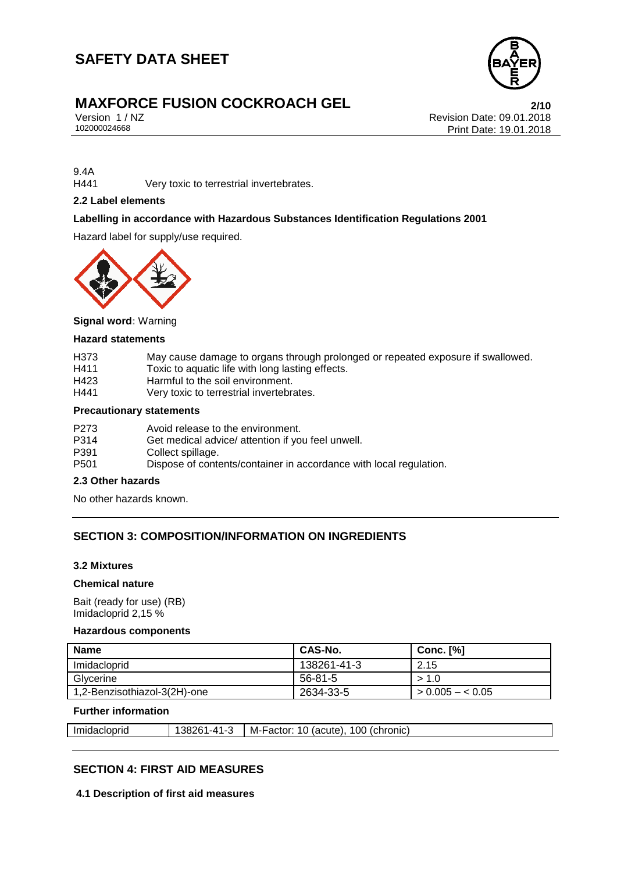

# **MAXFORCE FUSION COCKROACH GEL**<br>
Version 1/NZ<br>
Revision Date: 09.01.2018

Version 1 / NZ Revision Date: 09.01.2018 Print Date: 19.01.2018

# 9.4A<br>H441

Very toxic to terrestrial invertebrates.

#### **2.2 Label elements**

### **Labelling in accordance with Hazardous Substances Identification Regulations 2001**

Hazard label for supply/use required.



**Signal word:** Warning

#### **Hazard statements**

| H373 | May cause damage to organs through prolonged or repeated exposure if swallowed. |
|------|---------------------------------------------------------------------------------|
|      |                                                                                 |
| H411 | Toxic to aquatic life with long lasting effects.                                |
| H423 | Harmful to the soil environment.                                                |
|      |                                                                                 |
| H441 | Very toxic to terrestrial invertebrates.                                        |
|      |                                                                                 |

#### **Precautionary statements**

| P273             | Avoid release to the environment.                                  |
|------------------|--------------------------------------------------------------------|
| P314             | Get medical advice/ attention if you feel unwell.                  |
| P391             | Collect spillage.                                                  |
| P <sub>501</sub> | Dispose of contents/container in accordance with local regulation. |

### **2.3 Other hazards**

No other hazards known.

# **SECTION 3: COMPOSITION/INFORMATION ON INGREDIENTS**

#### **3.2 Mixtures**

#### **Chemical nature**

Bait (ready for use) (RB) Imidacloprid 2,15 %

#### **Hazardous components**

| <b>Name</b>                  | CAS-No.       | <b>Conc.</b> [%] |
|------------------------------|---------------|------------------|
| Imidacloprid                 | 138261-41-3   | 2.15             |
| Glycerine                    | $56 - 81 - 5$ | > 1.0            |
| 1,2-Benzisothiazol-3(2H)-one | 2634-33-5     | $> 0.005 - 0.05$ |

## **Further information**

|  | Imidacloprid | ) C<br>. .<br>- 1<br>$-4$<br>.1117 | 100<br>10<br>(chronic)<br>M-<br>. ⊦actor <sup>.</sup><br>(acute) |
|--|--------------|------------------------------------|------------------------------------------------------------------|
|--|--------------|------------------------------------|------------------------------------------------------------------|

## **SECTION 4: FIRST AID MEASURES**

**4.1 Description of first aid measures**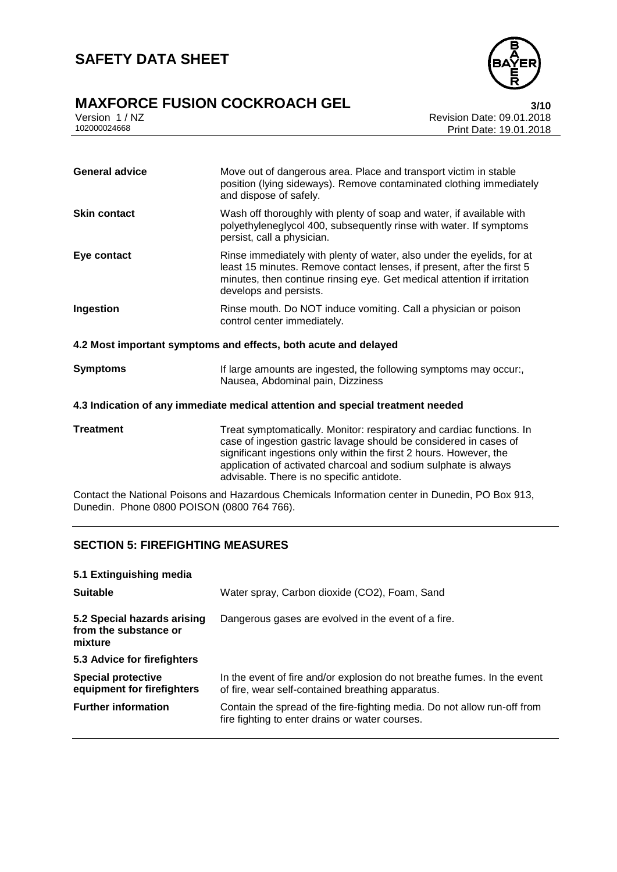# **MAXFORCE FUSION COCKROACH GEL**  $\frac{3}{10}$

| Version 1 / NZ |  |  |
|----------------|--|--|
| 102000024668   |  |  |



Revision Date: 09.01.2018 Print Date: 19.01.2018

| <b>General advice</b>                                                          | Move out of dangerous area. Place and transport victim in stable<br>position (lying sideways). Remove contaminated clothing immediately<br>and dispose of safely.                                                                                     |  |  |
|--------------------------------------------------------------------------------|-------------------------------------------------------------------------------------------------------------------------------------------------------------------------------------------------------------------------------------------------------|--|--|
| <b>Skin contact</b>                                                            | Wash off thoroughly with plenty of soap and water, if available with<br>polyethyleneglycol 400, subsequently rinse with water. If symptoms<br>persist, call a physician.                                                                              |  |  |
| Eye contact                                                                    | Rinse immediately with plenty of water, also under the eyelids, for at<br>least 15 minutes. Remove contact lenses, if present, after the first 5<br>minutes, then continue rinsing eye. Get medical attention if irritation<br>develops and persists. |  |  |
| Ingestion                                                                      | Rinse mouth. Do NOT induce vomiting. Call a physician or poison<br>control center immediately.                                                                                                                                                        |  |  |
| 4.2 Most important symptoms and effects, both acute and delayed                |                                                                                                                                                                                                                                                       |  |  |
| <b>Symptoms</b>                                                                | If large amounts are ingested, the following symptoms may occur:,<br>Nausea, Abdominal pain, Dizziness                                                                                                                                                |  |  |
| 4.3 Indication of any immediate medical attention and special treatment needed |                                                                                                                                                                                                                                                       |  |  |

**Treatment** Treat symptomatically. Monitor: respiratory and cardiac functions. In case of ingestion gastric lavage should be considered in cases of significant ingestions only within the first 2 hours. However, the application of activated charcoal and sodium sulphate is always advisable. There is no specific antidote.

Contact the National Poisons and Hazardous Chemicals Information center in Dunedin, PO Box 913, Dunedin. Phone 0800 POISON (0800 764 766).

## **SECTION 5: FIREFIGHTING MEASURES**

| Water spray, Carbon dioxide (CO2), Foam, Sand                                                                                 |  |  |  |
|-------------------------------------------------------------------------------------------------------------------------------|--|--|--|
| Dangerous gases are evolved in the event of a fire.                                                                           |  |  |  |
|                                                                                                                               |  |  |  |
| In the event of fire and/or explosion do not breathe fumes. In the event<br>of fire, wear self-contained breathing apparatus. |  |  |  |
| Contain the spread of the fire-fighting media. Do not allow run-off from<br>fire fighting to enter drains or water courses.   |  |  |  |
|                                                                                                                               |  |  |  |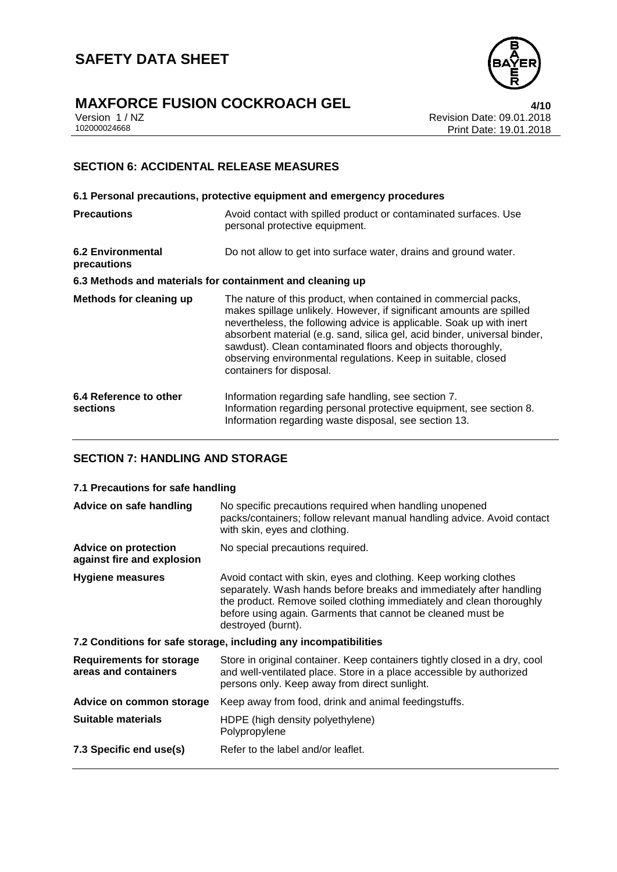

# **MAXFORCE FUSION COCKROACH GEL**<br>
Version 1/NZ<br>
Revision Date: 09.01.2018

Version 1 / NZ Revision Date: 09.01.2018 Print Date: 19.01.2018

# **SECTION 6: ACCIDENTAL RELEASE MEASURES**

|                                                           | 6.1 Personal precautions, protective equipment and emergency procedures                                                                                                                                                                                                                                                                                                                                                                                  |
|-----------------------------------------------------------|----------------------------------------------------------------------------------------------------------------------------------------------------------------------------------------------------------------------------------------------------------------------------------------------------------------------------------------------------------------------------------------------------------------------------------------------------------|
| <b>Precautions</b>                                        | Avoid contact with spilled product or contaminated surfaces. Use<br>personal protective equipment.                                                                                                                                                                                                                                                                                                                                                       |
| <b>6.2 Environmental</b><br>precautions                   | Do not allow to get into surface water, drains and ground water.                                                                                                                                                                                                                                                                                                                                                                                         |
| 6.3 Methods and materials for containment and cleaning up |                                                                                                                                                                                                                                                                                                                                                                                                                                                          |
| Methods for cleaning up                                   | The nature of this product, when contained in commercial packs,<br>makes spillage unlikely. However, if significant amounts are spilled<br>nevertheless, the following advice is applicable. Soak up with inert<br>absorbent material (e.g. sand, silica gel, acid binder, universal binder,<br>sawdust). Clean contaminated floors and objects thoroughly,<br>observing environmental regulations. Keep in suitable, closed<br>containers for disposal. |
| 6.4 Reference to other<br>sections                        | Information regarding safe handling, see section 7.<br>Information regarding personal protective equipment, see section 8.<br>Information regarding waste disposal, see section 13.                                                                                                                                                                                                                                                                      |

## **SECTION 7: HANDLING AND STORAGE**

#### **7.1 Precautions for safe handling**

| Advice on safe handling                                 | No specific precautions required when handling unopened<br>packs/containers; follow relevant manual handling advice. Avoid contact<br>with skin, eyes and clothing.                                                                                                                                  |  |
|---------------------------------------------------------|------------------------------------------------------------------------------------------------------------------------------------------------------------------------------------------------------------------------------------------------------------------------------------------------------|--|
| Advice on protection<br>against fire and explosion      | No special precautions required.                                                                                                                                                                                                                                                                     |  |
| Hygiene measures                                        | Avoid contact with skin, eyes and clothing. Keep working clothes<br>separately. Wash hands before breaks and immediately after handling<br>the product. Remove soiled clothing immediately and clean thoroughly<br>before using again. Garments that cannot be cleaned must be<br>destroyed (burnt). |  |
|                                                         | 7.2 Conditions for safe storage, including any incompatibilities                                                                                                                                                                                                                                     |  |
| <b>Requirements for storage</b><br>areas and containers | Store in original container. Keep containers tightly closed in a dry, cool<br>and well-ventilated place. Store in a place accessible by authorized<br>persons only. Keep away from direct sunlight.                                                                                                  |  |
| Advice on common storage                                | Keep away from food, drink and animal feedingstuffs.                                                                                                                                                                                                                                                 |  |
| <b>Suitable materials</b>                               | HDPE (high density polyethylene)<br>Polypropylene                                                                                                                                                                                                                                                    |  |
| 7.3 Specific end use(s)                                 | Refer to the label and/or leaflet.                                                                                                                                                                                                                                                                   |  |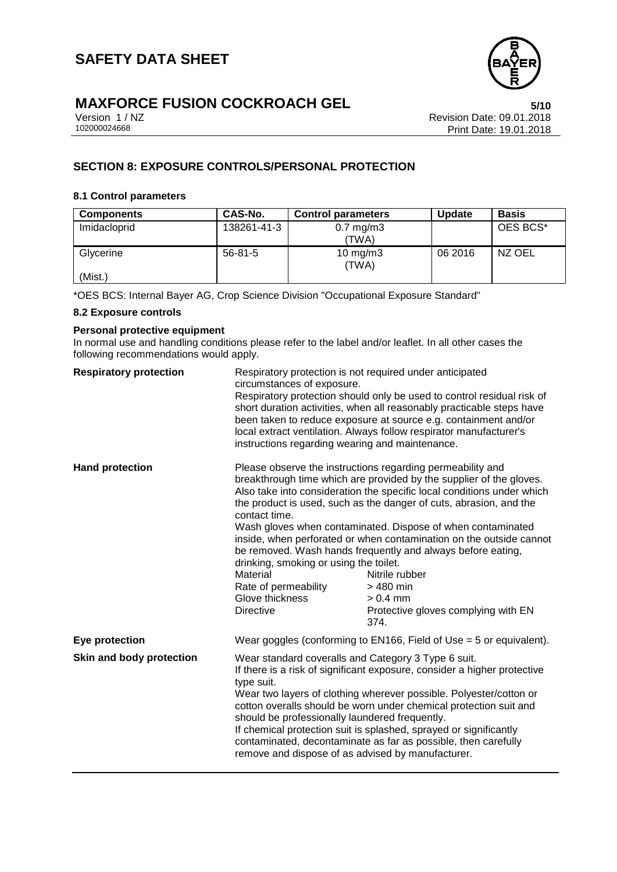

# **MAXFORCE FUSION COCKROACH GEL**<br>Version 1/NZ<br>Revision Date: 09.01.2018

Version 1 / NZ Revision Date: 09.01.2018 Print Date: 19.01.2018

# **SECTION 8: EXPOSURE CONTROLS/PERSONAL PROTECTION**

#### **8.1 Control parameters**

| <b>Components</b> | CAS-No.     | <b>Control parameters</b> | <b>Update</b> | <b>Basis</b> |
|-------------------|-------------|---------------------------|---------------|--------------|
| Imidacloprid      | 138261-41-3 | $0.7$ mg/m $3$            |               | OES BCS*     |
|                   |             | 'TWA)                     |               |              |
| Glycerine         | $56-81-5$   | $10 \text{ mg/m}$ 3       | 06 2016       | NZ OEL       |
|                   |             | (TWA)                     |               |              |
| (Mist.)           |             |                           |               |              |

\*OES BCS: Internal Bayer AG, Crop Science Division "Occupational Exposure Standard"

## **8.2 Exposure controls**

#### **Personal protective equipment**

In normal use and handling conditions please refer to the label and/or leaflet. In all other cases the following recommendations would apply.

| <b>Respiratory protection</b> | Respiratory protection is not required under anticipated<br>circumstances of exposure.<br>instructions regarding wearing and maintenance.                                | Respiratory protection should only be used to control residual risk of<br>short duration activities, when all reasonably practicable steps have<br>been taken to reduce exposure at source e.g. containment and/or<br>local extract ventilation. Always follow respirator manufacturer's                                                                                                                                                                                                                                                                                           |
|-------------------------------|--------------------------------------------------------------------------------------------------------------------------------------------------------------------------|------------------------------------------------------------------------------------------------------------------------------------------------------------------------------------------------------------------------------------------------------------------------------------------------------------------------------------------------------------------------------------------------------------------------------------------------------------------------------------------------------------------------------------------------------------------------------------|
| <b>Hand protection</b>        | contact time.<br>drinking, smoking or using the toilet.<br>Material<br>Rate of permeability<br>Glove thickness<br><b>Directive</b>                                       | Please observe the instructions regarding permeability and<br>breakthrough time which are provided by the supplier of the gloves.<br>Also take into consideration the specific local conditions under which<br>the product is used, such as the danger of cuts, abrasion, and the<br>Wash gloves when contaminated. Dispose of when contaminated<br>inside, when perforated or when contamination on the outside cannot<br>be removed. Wash hands frequently and always before eating,<br>Nitrile rubber<br>> 480 min<br>$> 0.4$ mm<br>Protective gloves complying with EN<br>374. |
| Eye protection                |                                                                                                                                                                          | Wear goggles (conforming to EN166, Field of Use $=$ 5 or equivalent).                                                                                                                                                                                                                                                                                                                                                                                                                                                                                                              |
| Skin and body protection      | Wear standard coveralls and Category 3 Type 6 suit.<br>type suit.<br>should be professionally laundered frequently.<br>remove and dispose of as advised by manufacturer. | If there is a risk of significant exposure, consider a higher protective<br>Wear two layers of clothing wherever possible. Polyester/cotton or<br>cotton overalls should be worn under chemical protection suit and<br>If chemical protection suit is splashed, sprayed or significantly<br>contaminated, decontaminate as far as possible, then carefully                                                                                                                                                                                                                         |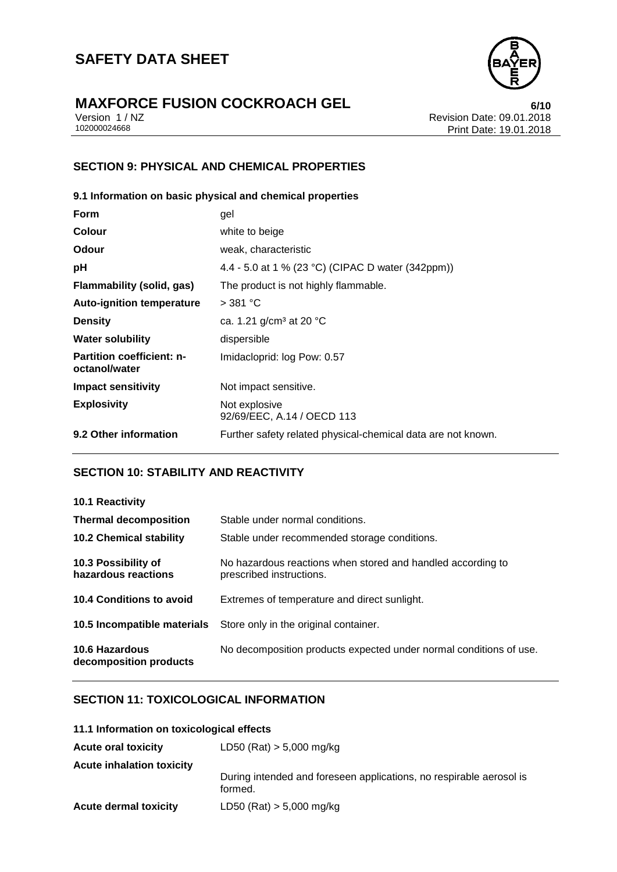

# **MAXFORCE FUSION COCKROACH GEL**<br>
Version 1/NZ<br>
Revision Date: 09.01.2018

Version 1 / NZ Revision Date: 09.01.2018 Print Date: 19.01.2018

## **SECTION 9: PHYSICAL AND CHEMICAL PROPERTIES**

#### **9.1 Information on basic physical and chemical properties**

| <b>Form</b>                                       | gel                                                          |
|---------------------------------------------------|--------------------------------------------------------------|
| <b>Colour</b>                                     | white to beige                                               |
| Odour                                             | weak, characteristic                                         |
| рH                                                | 4.4 - 5.0 at 1 % (23 °C) (CIPAC D water (342ppm))            |
| Flammability (solid, gas)                         | The product is not highly flammable.                         |
| <b>Auto-ignition temperature</b>                  | > 381 °C                                                     |
| <b>Density</b>                                    | ca. 1.21 g/cm <sup>3</sup> at 20 °C                          |
| <b>Water solubility</b>                           | dispersible                                                  |
| <b>Partition coefficient: n-</b><br>octanol/water | Imidacloprid: log Pow: 0.57                                  |
| <b>Impact sensitivity</b>                         | Not impact sensitive.                                        |
| <b>Explosivity</b>                                | Not explosive<br>92/69/EEC, A.14 / OECD 113                  |
| 9.2 Other information                             | Further safety related physical-chemical data are not known. |

# **SECTION 10: STABILITY AND REACTIVITY**

| <b>10.1 Reactivity</b>                          |                                                                                         |
|-------------------------------------------------|-----------------------------------------------------------------------------------------|
| <b>Thermal decomposition</b>                    | Stable under normal conditions.                                                         |
| <b>10.2 Chemical stability</b>                  | Stable under recommended storage conditions.                                            |
| 10.3 Possibility of<br>hazardous reactions      | No hazardous reactions when stored and handled according to<br>prescribed instructions. |
| 10.4 Conditions to avoid                        | Extremes of temperature and direct sunlight.                                            |
| 10.5 Incompatible materials                     | Store only in the original container.                                                   |
| <b>10.6 Hazardous</b><br>decomposition products | No decomposition products expected under normal conditions of use.                      |

## **SECTION 11: TOXICOLOGICAL INFORMATION**

| 11.1 Information on toxicological effects |  |
|-------------------------------------------|--|
|-------------------------------------------|--|

| <b>Acute oral toxicity</b>       | LD50 (Rat) $> 5,000$ mg/kg                                                     |
|----------------------------------|--------------------------------------------------------------------------------|
| <b>Acute inhalation toxicity</b> |                                                                                |
|                                  | During intended and foreseen applications, no respirable aerosol is<br>formed. |
| <b>Acute dermal toxicity</b>     | $LD50$ (Rat) $> 5,000$ mg/kg                                                   |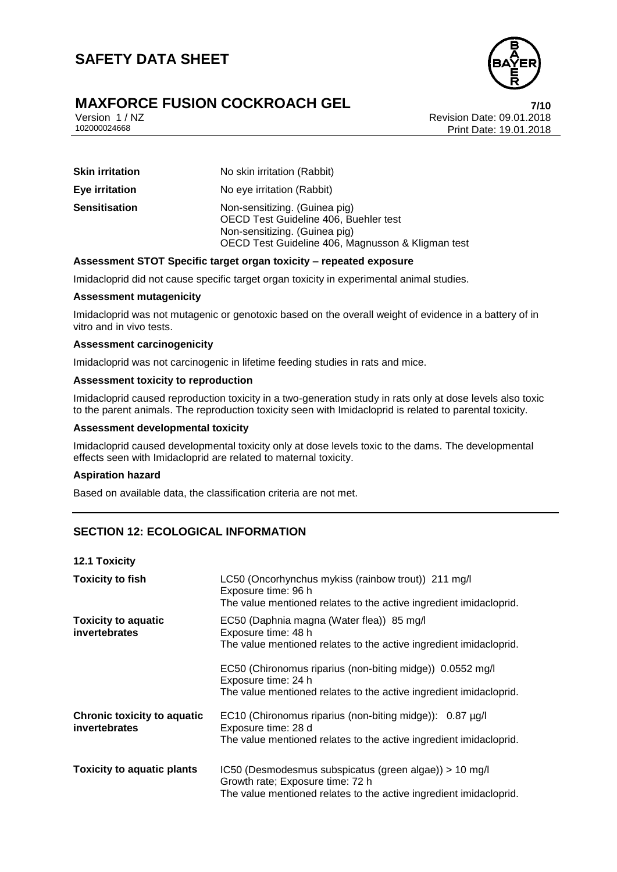



Version 1 / NZ Revision Date: 09.01.2018 Print Date: 19.01.2018

| <b>Skin irritation</b> | No skin irritation (Rabbit)                                                                                                                                  |
|------------------------|--------------------------------------------------------------------------------------------------------------------------------------------------------------|
| Eye irritation         | No eye irritation (Rabbit)                                                                                                                                   |
| Sensitisation          | Non-sensitizing. (Guinea pig)<br>OECD Test Guideline 406, Buehler test<br>Non-sensitizing. (Guinea pig)<br>OECD Test Guideline 406, Magnusson & Kligman test |

#### **Assessment STOT Specific target organ toxicity – repeated exposure**

Imidacloprid did not cause specific target organ toxicity in experimental animal studies.

#### **Assessment mutagenicity**

Imidacloprid was not mutagenic or genotoxic based on the overall weight of evidence in a battery of in vitro and in vivo tests.

#### **Assessment carcinogenicity**

Imidacloprid was not carcinogenic in lifetime feeding studies in rats and mice.

#### **Assessment toxicity to reproduction**

Imidacloprid caused reproduction toxicity in a two-generation study in rats only at dose levels also toxic to the parent animals. The reproduction toxicity seen with Imidacloprid is related to parental toxicity.

#### **Assessment developmental toxicity**

Imidacloprid caused developmental toxicity only at dose levels toxic to the dams. The developmental effects seen with Imidacloprid are related to maternal toxicity.

#### **Aspiration hazard**

Based on available data, the classification criteria are not met.

## **SECTION 12: ECOLOGICAL INFORMATION**

| <b>12.1 Toxicity</b>                                |                                                                                                                                                                  |
|-----------------------------------------------------|------------------------------------------------------------------------------------------------------------------------------------------------------------------|
| <b>Toxicity to fish</b>                             | LC50 (Oncorhynchus mykiss (rainbow trout)) 211 mg/l<br>Exposure time: 96 h<br>The value mentioned relates to the active ingredient imidacloprid.                 |
| <b>Toxicity to aquatic</b><br>invertebrates         | EC50 (Daphnia magna (Water flea)) 85 mg/l<br>Exposure time: 48 h<br>The value mentioned relates to the active ingredient imidacloprid.                           |
|                                                     | EC50 (Chironomus riparius (non-biting midge)) 0.0552 mg/l<br>Exposure time: 24 h<br>The value mentioned relates to the active ingredient imidacloprid.           |
| <b>Chronic toxicity to aquatic</b><br>invertebrates | EC10 (Chironomus riparius (non-biting midge)): 0.87 µg/l<br>Exposure time: 28 d<br>The value mentioned relates to the active ingredient imidacloprid.            |
| <b>Toxicity to aquatic plants</b>                   | IC50 (Desmodesmus subspicatus (green algae)) > 10 mg/l<br>Growth rate; Exposure time: 72 h<br>The value mentioned relates to the active ingredient imidacloprid. |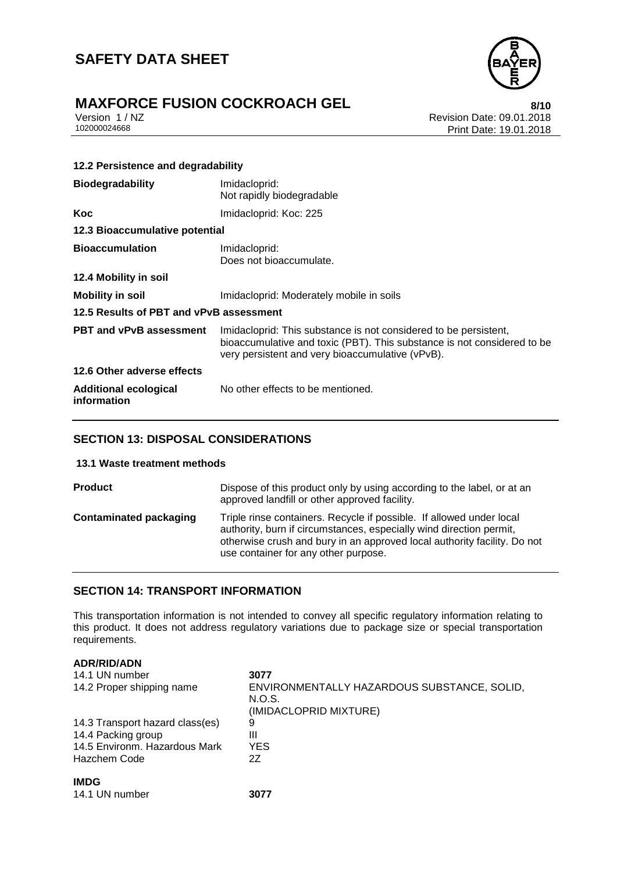



Version 1 / NZ Revision Date: 09.01.2018 Print Date: 19.01.2018

| 12.2 Persistence and degradability          |                                                                                                                                                                                                 |
|---------------------------------------------|-------------------------------------------------------------------------------------------------------------------------------------------------------------------------------------------------|
| <b>Biodegradability</b>                     | Imidacloprid:<br>Not rapidly biodegradable                                                                                                                                                      |
| Koc                                         | Imidacloprid: Koc: 225                                                                                                                                                                          |
| 12.3 Bioaccumulative potential              |                                                                                                                                                                                                 |
| <b>Bioaccumulation</b>                      | Imidacloprid:<br>Does not bioaccumulate.                                                                                                                                                        |
| 12.4 Mobility in soil                       |                                                                                                                                                                                                 |
| <b>Mobility in soil</b>                     | Imidacloprid: Moderately mobile in soils                                                                                                                                                        |
| 12.5 Results of PBT and vPvB assessment     |                                                                                                                                                                                                 |
| <b>PBT and vPvB assessment</b>              | Imidacloprid: This substance is not considered to be persistent,<br>bioaccumulative and toxic (PBT). This substance is not considered to be<br>very persistent and very bioaccumulative (vPvB). |
| 12.6 Other adverse effects                  |                                                                                                                                                                                                 |
| <b>Additional ecological</b><br>information | No other effects to be mentioned.                                                                                                                                                               |

## **SECTION 13: DISPOSAL CONSIDERATIONS**

#### **13.1 Waste treatment methods**

| <b>Product</b>                | Dispose of this product only by using according to the label, or at an<br>approved landfill or other approved facility.                                                                                                                                         |
|-------------------------------|-----------------------------------------------------------------------------------------------------------------------------------------------------------------------------------------------------------------------------------------------------------------|
| <b>Contaminated packaging</b> | Triple rinse containers. Recycle if possible. If allowed under local<br>authority, burn if circumstances, especially wind direction permit,<br>otherwise crush and bury in an approved local authority facility. Do not<br>use container for any other purpose. |

### **SECTION 14: TRANSPORT INFORMATION**

This transportation information is not intended to convey all specific regulatory information relating to this product. It does not address regulatory variations due to package size or special transportation requirements.

### **ADR/RID/ADN**

| 14.1 UN number<br>14.2 Proper shipping name                                                            | 3077<br>ENVIRONMENTALLY HAZARDOUS SUBSTANCE, SOLID,<br>N.O.S.<br>(IMIDACLOPRID MIXTURE) |
|--------------------------------------------------------------------------------------------------------|-----------------------------------------------------------------------------------------|
| 14.3 Transport hazard class(es)<br>14.4 Packing group<br>14.5 Environm. Hazardous Mark<br>Hazchem Code | 9<br>Ш<br>YES<br>2Z                                                                     |
| <b>IMDG</b><br>14.1 UN number                                                                          | 3077                                                                                    |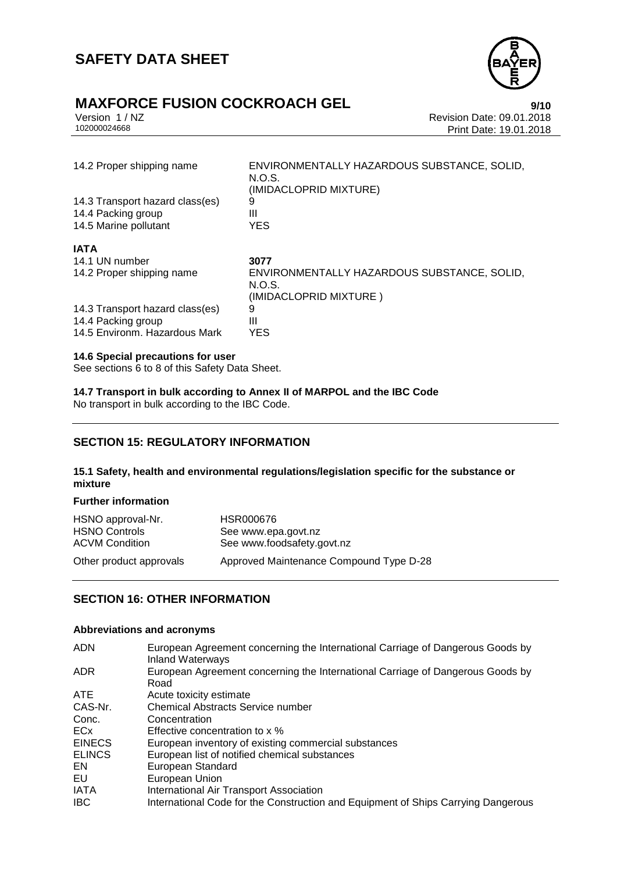



Version 1 / NZ Revision Date: 09.01.2018 Print Date: 19.01.2018

| 14.2 Proper shipping name       | ENVIRONMENTALLY HAZARDOUS SUBSTANCE, SOLID,<br>N.O.S.<br>(IMIDACLOPRID MIXTURE) |
|---------------------------------|---------------------------------------------------------------------------------|
| 14.3 Transport hazard class(es) | 9                                                                               |
| 14.4 Packing group              | Ш                                                                               |
| 14.5 Marine pollutant           | <b>YES</b>                                                                      |
| <b>IATA</b>                     |                                                                                 |
| 14.1 UN number                  | 3077                                                                            |
| 14.2 Proper shipping name       | ENVIRONMENTALLY HAZARDOUS SUBSTANCE, SOLID,<br>N.O.S.                           |
| 14.3 Transport hazard class(es) | (IMIDACLOPRID MIXTURE )<br>9                                                    |
| 14.4 Packing group              | Ш                                                                               |
| 14.5 Environm, Hazardous Mark   | <b>YES</b>                                                                      |

#### **14.6 Special precautions for user**

See sections 6 to 8 of this Safety Data Sheet.

**14.7 Transport in bulk according to Annex II of MARPOL and the IBC Code** No transport in bulk according to the IBC Code.

### **SECTION 15: REGULATORY INFORMATION**

**15.1 Safety, health and environmental regulations/legislation specific for the substance or mixture**

#### **Further information**

| HSNO approval-Nr.       | <b>HSR000676</b>                        |
|-------------------------|-----------------------------------------|
| <b>HSNO Controls</b>    | See www.epa.govt.nz                     |
| <b>ACVM Condition</b>   | See www.foodsafety.govt.nz              |
| Other product approvals | Approved Maintenance Compound Type D-28 |

## **SECTION 16: OTHER INFORMATION**

#### **Abbreviations and acronyms**

| <b>ADN</b>    | European Agreement concerning the International Carriage of Dangerous Goods by<br><b>Inland Waterways</b> |
|---------------|-----------------------------------------------------------------------------------------------------------|
| ADR.          | European Agreement concerning the International Carriage of Dangerous Goods by<br>Road                    |
| ATE.          | Acute toxicity estimate                                                                                   |
| CAS-Nr.       | <b>Chemical Abstracts Service number</b>                                                                  |
| Conc.         | Concentration                                                                                             |
| ECx           | Effective concentration to x %                                                                            |
| <b>EINECS</b> | European inventory of existing commercial substances                                                      |
| <b>ELINCS</b> | European list of notified chemical substances                                                             |
| EN.           | European Standard                                                                                         |
| EU            | European Union                                                                                            |
| IATA          | International Air Transport Association                                                                   |
| <b>IBC</b>    | International Code for the Construction and Equipment of Ships Carrying Dangerous                         |